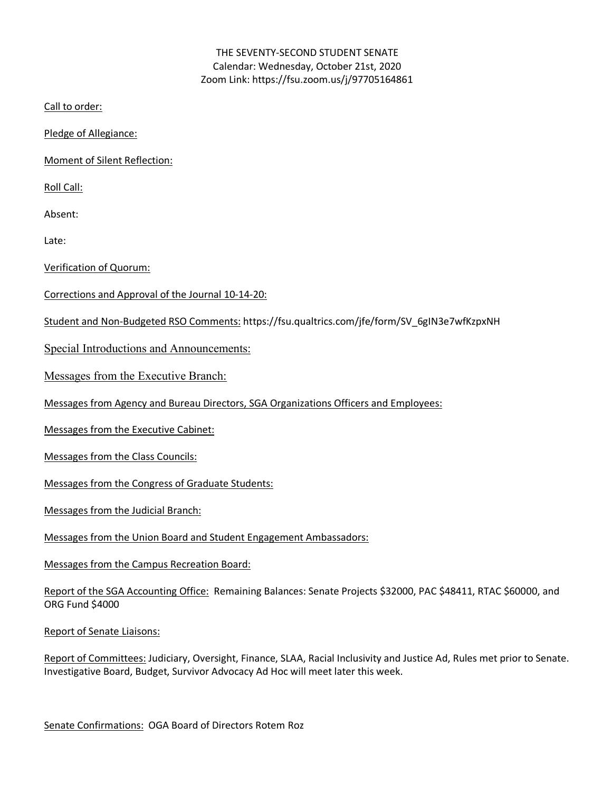## THE SEVENTY-SECOND STUDENT SENATE Calendar: Wednesday, October 21st, 2020 Zoom Link: https://fsu.zoom.us/j/97705164861

Call to order:

Pledge of Allegiance:

Moment of Silent Reflection:

Roll Call:

Absent:

Late:

Verification of Quorum:

- Corrections and Approval of the Journal 10-14-20:
- Student and Non-Budgeted RSO Comments: https://fsu.qualtrics.com/jfe/form/SV\_6gIN3e7wfKzpxNH

Special Introductions and Announcements:

Messages from the Executive Branch:

Messages from Agency and Bureau Directors, SGA Organizations Officers and Employees:

Messages from the Executive Cabinet:

Messages from the Class Councils:

Messages from the Congress of Graduate Students:

Messages from the Judicial Branch:

Messages from the Union Board and Student Engagement Ambassadors:

Messages from the Campus Recreation Board:

Report of the SGA Accounting Office: Remaining Balances: Senate Projects \$32000, PAC \$48411, RTAC \$60000, and ORG Fund \$4000

Report of Senate Liaisons:

Report of Committees: Judiciary, Oversight, Finance, SLAA, Racial Inclusivity and Justice Ad, Rules met prior to Senate. Investigative Board, Budget, Survivor Advocacy Ad Hoc will meet later this week.

Senate Confirmations: OGA Board of Directors Rotem Roz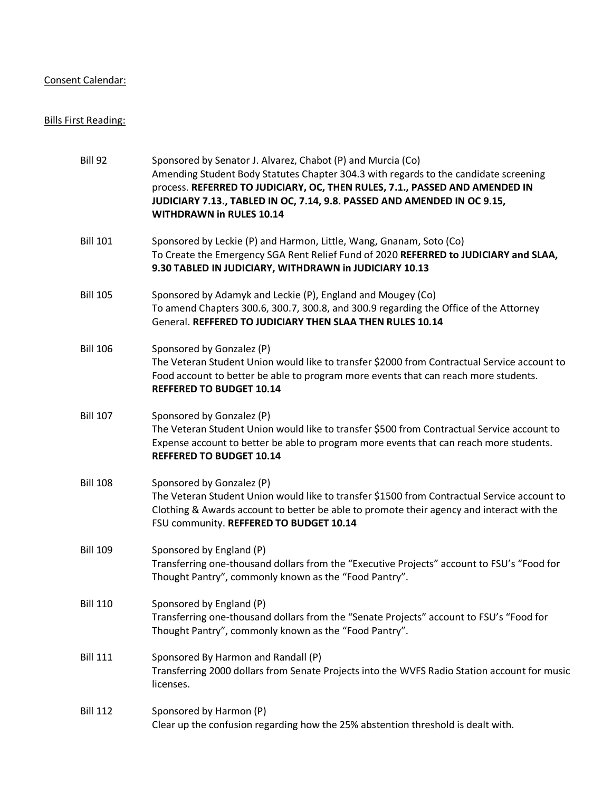## Consent Calendar:

# Bills First Reading:

| Bill 92         | Sponsored by Senator J. Alvarez, Chabot (P) and Murcia (Co)<br>Amending Student Body Statutes Chapter 304.3 with regards to the candidate screening<br>process. REFERRED TO JUDICIARY, OC, THEN RULES, 7.1., PASSED AND AMENDED IN<br>JUDICIARY 7.13., TABLED IN OC, 7.14, 9.8. PASSED AND AMENDED IN OC 9.15,<br><b>WITHDRAWN in RULES 10.14</b> |
|-----------------|---------------------------------------------------------------------------------------------------------------------------------------------------------------------------------------------------------------------------------------------------------------------------------------------------------------------------------------------------|
| <b>Bill 101</b> | Sponsored by Leckie (P) and Harmon, Little, Wang, Gnanam, Soto (Co)<br>To Create the Emergency SGA Rent Relief Fund of 2020 REFERRED to JUDICIARY and SLAA,<br>9.30 TABLED IN JUDICIARY, WITHDRAWN in JUDICIARY 10.13                                                                                                                             |
| <b>Bill 105</b> | Sponsored by Adamyk and Leckie (P), England and Mougey (Co)<br>To amend Chapters 300.6, 300.7, 300.8, and 300.9 regarding the Office of the Attorney<br>General. REFFERED TO JUDICIARY THEN SLAA THEN RULES 10.14                                                                                                                                 |
| <b>Bill 106</b> | Sponsored by Gonzalez (P)<br>The Veteran Student Union would like to transfer \$2000 from Contractual Service account to<br>Food account to better be able to program more events that can reach more students.<br><b>REFFERED TO BUDGET 10.14</b>                                                                                                |
| <b>Bill 107</b> | Sponsored by Gonzalez (P)<br>The Veteran Student Union would like to transfer \$500 from Contractual Service account to<br>Expense account to better be able to program more events that can reach more students.<br><b>REFFERED TO BUDGET 10.14</b>                                                                                              |
| <b>Bill 108</b> | Sponsored by Gonzalez (P)<br>The Veteran Student Union would like to transfer \$1500 from Contractual Service account to<br>Clothing & Awards account to better be able to promote their agency and interact with the<br>FSU community. REFFERED TO BUDGET 10.14                                                                                  |
| <b>Bill 109</b> | Sponsored by England (P)<br>Transferring one-thousand dollars from the "Executive Projects" account to FSU's "Food for<br>Thought Pantry", commonly known as the "Food Pantry".                                                                                                                                                                   |
| <b>Bill 110</b> | Sponsored by England (P)<br>Transferring one-thousand dollars from the "Senate Projects" account to FSU's "Food for<br>Thought Pantry", commonly known as the "Food Pantry".                                                                                                                                                                      |
| <b>Bill 111</b> | Sponsored By Harmon and Randall (P)<br>Transferring 2000 dollars from Senate Projects into the WVFS Radio Station account for music<br>licenses.                                                                                                                                                                                                  |
| <b>Bill 112</b> | Sponsored by Harmon (P)<br>Clear up the confusion regarding how the 25% abstention threshold is dealt with.                                                                                                                                                                                                                                       |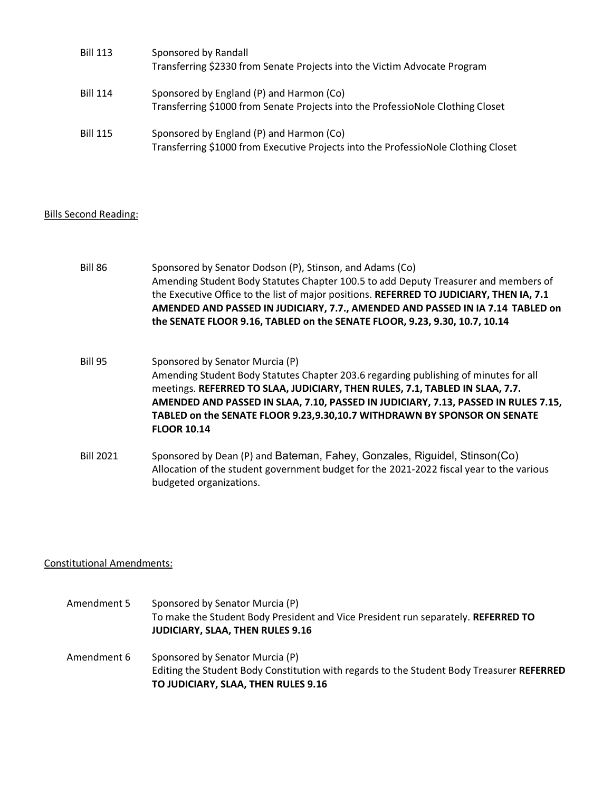| <b>Bill 113</b> | Sponsored by Randall<br>Transferring \$2330 from Senate Projects into the Victim Advocate Program                              |
|-----------------|--------------------------------------------------------------------------------------------------------------------------------|
| <b>Bill 114</b> | Sponsored by England (P) and Harmon (Co)<br>Transferring \$1000 from Senate Projects into the ProfessioNole Clothing Closet    |
| <b>Bill 115</b> | Sponsored by England (P) and Harmon (Co)<br>Transferring \$1000 from Executive Projects into the ProfessioNole Clothing Closet |

### Bills Second Reading:

Bill 86 Sponsored by Senator Dodson (P), Stinson, and Adams (Co) Amending Student Body Statutes Chapter 100.5 to add Deputy Treasurer and members of the Executive Office to the list of major positions. **REFERRED TO JUDICIARY, THEN IA, 7.1 AMENDED AND PASSED IN JUDICIARY, 7.7., AMENDED AND PASSED IN IA 7.14 TABLED on the SENATE FLOOR 9.16, TABLED on the SENATE FLOOR, 9.23, 9.30, 10.7, 10.14**

- Bill 95 Sponsored by Senator Murcia (P) Amending Student Body Statutes Chapter 203.6 regarding publishing of minutes for all meetings. **REFERRED TO SLAA, JUDICIARY, THEN RULES, 7.1, TABLED IN SLAA, 7.7. AMENDED AND PASSED IN SLAA, 7.10, PASSED IN JUDICIARY, 7.13, PASSED IN RULES 7.15, TABLED on the SENATE FLOOR 9.23,9.30,10.7 WITHDRAWN BY SPONSOR ON SENATE FLOOR 10.14**
- Bill 2021 Sponsored by Dean (P) and Bateman, Fahey, Gonzales, Riguidel, Stinson(Co) Allocation of the student government budget for the 2021-2022 fiscal year to the various budgeted organizations.

### Constitutional Amendments:

Amendment 5 Sponsored by Senator Murcia (P) To make the Student Body President and Vice President run separately. **REFERRED TO JUDICIARY, SLAA, THEN RULES 9.16** Amendment 6 Sponsored by Senator Murcia (P) Editing the Student Body Constitution with regards to the Student Body Treasurer **REFERRED TO JUDICIARY, SLAA, THEN RULES 9.16**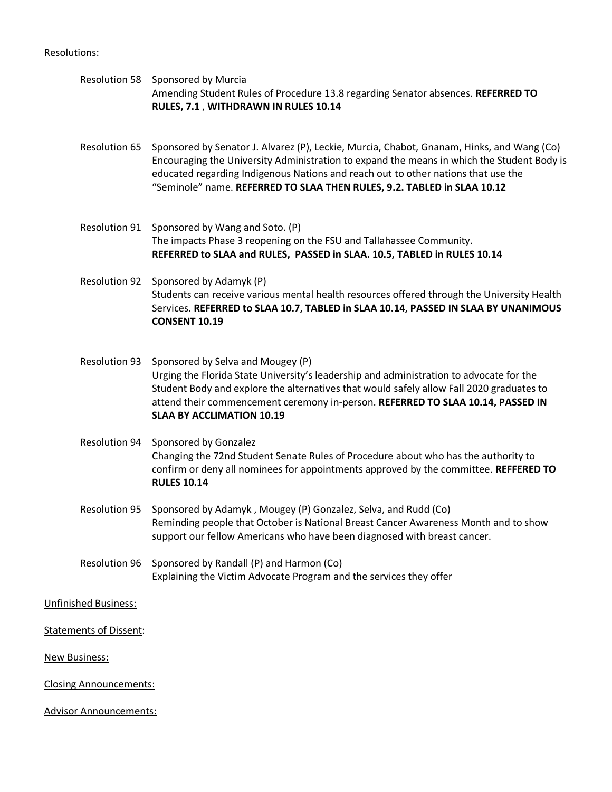#### Resolutions:

Resolution 58 Sponsored by Murcia Amending Student Rules of Procedure 13.8 regarding Senator absences. **REFERRED TO RULES, 7.1** , **WITHDRAWN IN RULES 10.14**

Resolution 65 Sponsored by Senator J. Alvarez (P), Leckie, Murcia, Chabot, Gnanam, Hinks, and Wang (Co) Encouraging the University Administration to expand the means in which the Student Body is educated regarding Indigenous Nations and reach out to other nations that use the "Seminole" name. **REFERRED TO SLAA THEN RULES, 9.2. TABLED in SLAA 10.12**

- Resolution 91 Sponsored by Wang and Soto. (P) The impacts Phase 3 reopening on the FSU and Tallahassee Community. **REFERRED to SLAA and RULES, PASSED in SLAA. 10.5, TABLED in RULES 10.14**
- Resolution 92 Sponsored by Adamyk (P) Students can receive various mental health resources offered through the University Health Services. **REFERRED to SLAA 10.7, TABLED in SLAA 10.14, PASSED IN SLAA BY UNANIMOUS CONSENT 10.19**
- Resolution 93 Sponsored by Selva and Mougey (P) Urging the Florida State University's leadership and administration to advocate for the Student Body and explore the alternatives that would safely allow Fall 2020 graduates to attend their commencement ceremony in-person. **REFERRED TO SLAA 10.14, PASSED IN SLAA BY ACCLIMATION 10.19**
- Resolution 94 Sponsored by Gonzalez Changing the 72nd Student Senate Rules of Procedure about who has the authority to confirm or deny all nominees for appointments approved by the committee. **REFFERED TO RULES 10.14**
- Resolution 95 Sponsored by Adamyk , Mougey (P) Gonzalez, Selva, and Rudd (Co) Reminding people that October is National Breast Cancer Awareness Month and to show support our fellow Americans who have been diagnosed with breast cancer.
- Resolution 96 Sponsored by Randall (P) and Harmon (Co) Explaining the Victim Advocate Program and the services they offer

#### Unfinished Business:

Statements of Dissent:

New Business:

Closing Announcements:

Advisor Announcements: